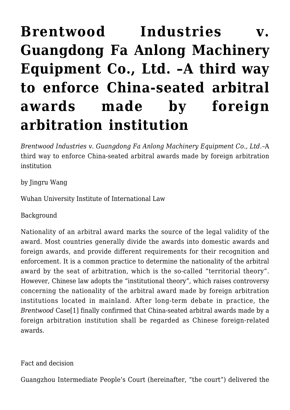## **[Brentwood Industries v.](https://conflictoflaws.net/2020/brentwood-industries-v-guangdong-fa-anlong-machinery-equipment-co-ltd%ef%bc%9aa-third-way-to-enforce-china-seated-arbitral-awards-made-by-foreign-arbitration-institution/) [Guangdong Fa Anlong Machinery](https://conflictoflaws.net/2020/brentwood-industries-v-guangdong-fa-anlong-machinery-equipment-co-ltd%ef%bc%9aa-third-way-to-enforce-china-seated-arbitral-awards-made-by-foreign-arbitration-institution/) [Equipment Co., Ltd. –A third way](https://conflictoflaws.net/2020/brentwood-industries-v-guangdong-fa-anlong-machinery-equipment-co-ltd%ef%bc%9aa-third-way-to-enforce-china-seated-arbitral-awards-made-by-foreign-arbitration-institution/) [to enforce China-seated arbitral](https://conflictoflaws.net/2020/brentwood-industries-v-guangdong-fa-anlong-machinery-equipment-co-ltd%ef%bc%9aa-third-way-to-enforce-china-seated-arbitral-awards-made-by-foreign-arbitration-institution/) [awards made by foreign](https://conflictoflaws.net/2020/brentwood-industries-v-guangdong-fa-anlong-machinery-equipment-co-ltd%ef%bc%9aa-third-way-to-enforce-china-seated-arbitral-awards-made-by-foreign-arbitration-institution/) [arbitration institution](https://conflictoflaws.net/2020/brentwood-industries-v-guangdong-fa-anlong-machinery-equipment-co-ltd%ef%bc%9aa-third-way-to-enforce-china-seated-arbitral-awards-made-by-foreign-arbitration-institution/)**

*Brentwood Industries v. Guangdong Fa Anlong Machinery Equipment Co., Ltd.*–A third way to enforce China-seated arbitral awards made by foreign arbitration institution

by Jingru Wang

Wuhan University Institute of International Law

Background

Nationality of an arbitral award marks the source of the legal validity of the award. Most countries generally divide the awards into domestic awards and foreign awards, and provide different requirements for their recognition and enforcement. It is a common practice to determine the nationality of the arbitral award by the seat of arbitration, which is the so-called "territorial theory". However, Chinese law adopts the "institutional theory", which raises controversy concerning the nationality of the arbitral award made by foreign arbitration institutions located in mainland. After long-term debate in practice, the *Brentwood* Cas[e\[1\]](#page-4-0) finally confirmed that China-seated arbitral awards made by a foreign arbitration institution shall be regarded as Chinese foreign-related awards.

<span id="page-0-0"></span>Fact and decision

Guangzhou Intermediate People's Court (hereinafter, "the court") delivered the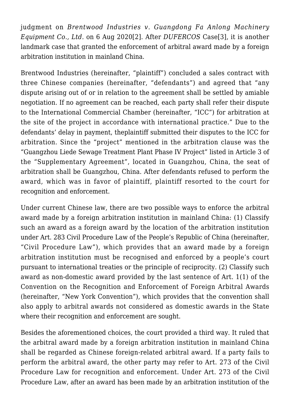<span id="page-1-0"></span>judgment on *Brentwood Industries v. Guangdong Fa Anlong Machinery Equipment Co., Ltd.* on 6 Aug 2020[\[2\].](#page-4-1) After *DUFERCOS* Case[\[3\]](#page-5-0), it is another landmark case that granted the enforcement of arbitral award made by a foreign arbitration institution in mainland China.

Brentwood Industries (hereinafter, "plaintiff") concluded a sales contract with three Chinese companies (hereinafter, "defendants") and agreed that "any dispute arising out of or in relation to the agreement shall be settled by amiable negotiation. If no agreement can be reached, each party shall refer their dispute to the International Commercial Chamber (hereinafter, "ICC") for arbitration at the site of the project in accordance with international practice." Due to the defendants' delay in payment, theplaintiff submitted their disputes to the ICC for arbitration. Since the "project" mentioned in the arbitration clause was the "Guangzhou Liede Sewage Treatment Plant Phase IV Project" listed in Article 3 of the "Supplementary Agreement", located in Guangzhou, China, the seat of arbitration shall be Guangzhou, China. After defendants refused to perform the award, which was in favor of plaintiff, plaintiff resorted to the court for recognition and enforcement.

Under current Chinese law, there are two possible ways to enforce the arbitral award made by a foreign arbitration institution in mainland China: (1) Classify such an award as a foreign award by the location of the arbitration institution under Art. 283 Civil Procedure Law of the People's Republic of China (hereinafter, "Civil Procedure Law"), which provides that an award made by a foreign arbitration institution must be recognised and enforced by a people's court pursuant to international treaties or the principle of reciprocity. (2) Classify such award as non-domestic award provided by the last sentence of Art. 1(1) of the Convention on the Recognition and Enforcement of Foreign Arbitral Awards (hereinafter, "New York Convention"), which provides that the convention shall also apply to arbitral awards not considered as domestic awards in the State where their recognition and enforcement are sought.

Besides the aforementioned choices, the court provided a third way. It ruled that the arbitral award made by a foreign arbitration institution in mainland China shall be regarded as Chinese foreign-related arbitral award. If a party fails to perform the arbitral award, the other party may refer to Art. 273 of the Civil Procedure Law for recognition and enforcement. Under Art. 273 of the Civil Procedure Law, after an award has been made by an arbitration institution of the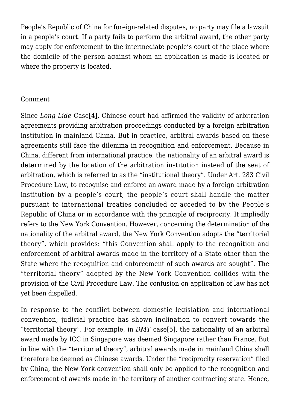People's Republic of China for foreign-related disputes, no party may file a lawsuit in a people's court. If a party fails to perform the arbitral award, the other party may apply for enforcement to the intermediate people's court of the place where the domicile of the person against whom an application is made is located or where the property is located.

## Comment

<span id="page-2-0"></span>Since *Long Lide* Cas[e\[4\]](#page-5-1), Chinese court had affirmed the validity of arbitration agreements providing arbitration proceedings conducted by a foreign arbitration institution in mainland China. But in practice, arbitral awards based on these agreements still face the dilemma in recognition and enforcement. Because in China, different from international practice, the nationality of an arbitral award is determined by the location of the arbitration institution instead of the seat of arbitration, which is referred to as the "institutional theory". Under Art. 283 Civil Procedure Law, to recognise and enforce an award made by a foreign arbitration institution by a people's court, the people's court shall handle the matter pursuant to international treaties concluded or acceded to by the People's Republic of China or in accordance with the principle of reciprocity. It impliedly refers to the New York Convention. However, concerning the determination of the nationality of the arbitral award, the New York Convention adopts the "territorial theory", which provides: "this Convention shall apply to the recognition and enforcement of arbitral awards made in the territory of a State other than the State where the recognition and enforcement of such awards are sought". The "territorial theory" adopted by the New York Convention collides with the provision of the Civil Procedure Law. The confusion on application of law has not yet been dispelled.

<span id="page-2-1"></span>In response to the conflict between domestic legislation and international convention, judicial practice has shown inclination to convert towards the "territorial theory". For example, in *DMT* case[\[5\],](#page-5-2) the nationality of an arbitral award made by ICC in Singapore was deemed Singapore rather than France. But in line with the "territorial theory", arbitral awards made in mainland China shall therefore be deemed as Chinese awards. Under the "reciprocity reservation" filed by China, the New York convention shall only be applied to the recognition and enforcement of awards made in the territory of another contracting state. Hence,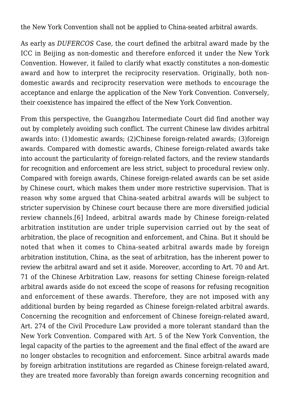the New York Convention shall not be applied to China-seated arbitral awards.

As early as *DUFERCOS* Case, the court defined the arbitral award made by the ICC in Beijing as non-domestic and therefore enforced it under the New York Convention. However, it failed to clarify what exactly constitutes a non-domestic award and how to interpret the reciprocity reservation. Originally, both nondomestic awards and reciprocity reservation were methods to encourage the acceptance and enlarge the application of the New York Convention. Conversely, their coexistence has impaired the effect of the New York Convention.

<span id="page-3-0"></span>From this perspective, the Guangzhou Intermediate Court did find another way out by completely avoiding such conflict. The current Chinese law divides arbitral awards into: (1)domestic awards; (2)Chinese foreign-related awards; (3)foreign awards. Compared with domestic awards, Chinese foreign-related awards take into account the particularity of foreign-related factors, and the review standards for recognition and enforcement are less strict, subject to procedural review only. Compared with foreign awards, Chinese foreign-related awards can be set aside by Chinese court, which makes them under more restrictive supervision. That is reason why some argued that China-seated arbitral awards will be subject to stricter supervision by Chinese court because there are more diversified judicial review channels.[\[6\]](#page-5-3) Indeed, arbitral awards made by Chinese foreign-related arbitration institution are under triple supervision carried out by the seat of arbitration, the place of recognition and enforcement, and China. But it should be noted that when it comes to China-seated arbitral awards made by foreign arbitration institution, China, as the seat of arbitration, has the inherent power to review the arbitral award and set it aside. Moreover, according to Art. 70 and Art. 71 of the Chinese Arbitration Law, reasons for setting Chinese foreign-related arbitral awards aside do not exceed the scope of reasons for refusing recognition and enforcement of these awards. Therefore, they are not imposed with any additional burden by being regarded as Chinese foreign-related arbitral awards. Concerning the recognition and enforcement of Chinese foreign-related award, Art. 274 of the Civil Procedure Law provided a more tolerant standard than the New York Convention. Compared with Art. 5 of the New York Convention, the legal capacity of the parties to the agreement and the final effect of the award are no longer obstacles to recognition and enforcement. Since arbitral awards made by foreign arbitration institutions are regarded as Chinese foreign-related award, they are treated more favorably than foreign awards concerning recognition and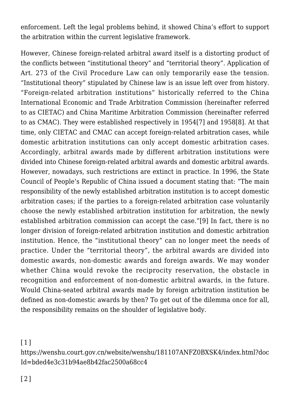enforcement. Left the legal problems behind, it showed China's effort to support the arbitration within the current legislative framework.

<span id="page-4-2"></span>However, Chinese foreign-related arbitral award itself is a distorting product of the conflicts between "institutional theory" and "territorial theory". Application of Art. 273 of the Civil Procedure Law can only temporarily ease the tension. "Institutional theory" stipulated by Chinese law is an issue left over from history. "Foreign-related arbitration institutions" historically referred to the China International Economic and Trade Arbitration Commission (hereinafter referred to as CIETAC) and China Maritime Arbitration Commission (hereinafter referred to as CMAC). They were established respectively in 195[4\[7\]](#page-5-4) and 1958[\[8\]](#page-5-5). At that time, only CIETAC and CMAC can accept foreign-related arbitration cases, while domestic arbitration institutions can only accept domestic arbitration cases. Accordingly, arbitral awards made by different arbitration institutions were divided into Chinese foreign-related arbitral awards and domestic arbitral awards. However, nowadays, such restrictions are extinct in practice. In 1996, the State Council of People's Republic of China issued a document stating that: "The main responsibility of the newly established arbitration institution is to accept domestic arbitration cases; if the parties to a foreign-related arbitration case voluntarily choose the newly established arbitration institution for arbitration, the newly established arbitration commission can accept the case."[\[9\]](#page-5-6) In fact, there is no longer division of foreign-related arbitration institution and domestic arbitration institution. Hence, the "institutional theory" can no longer meet the needs of practice. Under the "territorial theory", the arbitral awards are divided into domestic awards, non-domestic awards and foreign awards. We may wonder whether China would revoke the reciprocity reservation, the obstacle in recognition and enforcement of non-domestic arbitral awards, in the future. Would China-seated arbitral awards made by foreign arbitration institution be defined as non-domestic awards by then? To get out of the dilemma once for all, the responsibility remains on the shoulder of legislative body.

<span id="page-4-3"></span><span id="page-4-0"></span>[\[1\]](#page-0-0)

<span id="page-4-1"></span>https://wenshu.court.gov.cn/website/wenshu/181107ANFZ0BXSK4/index.html?doc Id=bded4e3c31b94ae8b42fac2500a68cc4